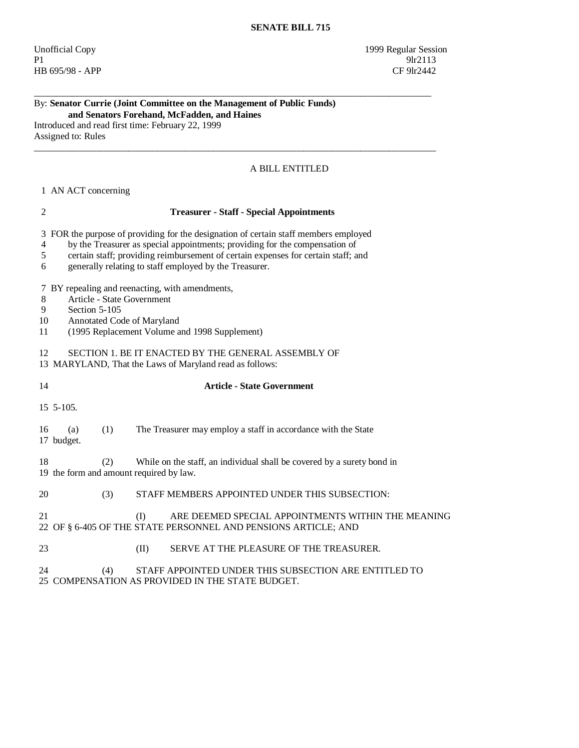Unofficial Copy 1999 Regular Session P1 9lr2113 HB 695/98 - APP CF 9lr2442

#### By: **Senator Currie (Joint Committee on the Management of Public Funds) and Senators Forehand, McFadden, and Haines**

Introduced and read first time: February 22, 1999 Assigned to: Rules

## A BILL ENTITLED

### 1 AN ACT concerning

## 2 **Treasurer - Staff - Special Appointments**

\_\_\_\_\_\_\_\_\_\_\_\_\_\_\_\_\_\_\_\_\_\_\_\_\_\_\_\_\_\_\_\_\_\_\_\_\_\_\_\_\_\_\_\_\_\_\_\_\_\_\_\_\_\_\_\_\_\_\_\_\_\_\_\_\_\_\_\_\_\_\_\_\_\_\_\_\_\_\_\_\_\_\_\_

 $\_$  ,  $\_$  ,  $\_$  ,  $\_$  ,  $\_$  ,  $\_$  ,  $\_$  ,  $\_$  ,  $\_$  ,  $\_$  ,  $\_$  ,  $\_$  ,  $\_$  ,  $\_$  ,  $\_$  ,  $\_$  ,  $\_$  ,  $\_$  ,  $\_$  ,  $\_$  ,  $\_$  ,  $\_$  ,  $\_$  ,  $\_$  ,  $\_$  ,  $\_$  ,  $\_$  ,  $\_$  ,  $\_$  ,  $\_$  ,  $\_$  ,  $\_$  ,  $\_$  ,  $\_$  ,  $\_$  ,  $\_$  ,  $\_$  ,

3 FOR the purpose of providing for the designation of certain staff members employed

- 4 by the Treasurer as special appointments; providing for the compensation of
- 5 certain staff; providing reimbursement of certain expenses for certain staff; and
- 6 generally relating to staff employed by the Treasurer.

7 BY repealing and reenacting, with amendments,

- 8 Article State Government
- 9 Section 5-105<br>10 Annotated Co
- Annotated Code of Maryland
- 11 (1995 Replacement Volume and 1998 Supplement)

#### 12 SECTION 1. BE IT ENACTED BY THE GENERAL ASSEMBLY OF

- 13 MARYLAND, That the Laws of Maryland read as follows:
- 

## 14 **Article - State Government**

15 5-105.

## 16 (a) (1) The Treasurer may employ a staff in accordance with the State

17 budget.

 18 (2) While on the staff, an individual shall be covered by a surety bond in 19 the form and amount required by law.

20 (3) STAFF MEMBERS APPOINTED UNDER THIS SUBSECTION:

## 21 (I) ARE DEEMED SPECIAL APPOINTMENTS WITHIN THE MEANING 22 OF § 6-405 OF THE STATE PERSONNEL AND PENSIONS ARTICLE; AND

- 23 (II) SERVE AT THE PLEASURE OF THE TREASURER.
- 24 (4) STAFF APPOINTED UNDER THIS SUBSECTION ARE ENTITLED TO 25 COMPENSATION AS PROVIDED IN THE STATE BUDGET.